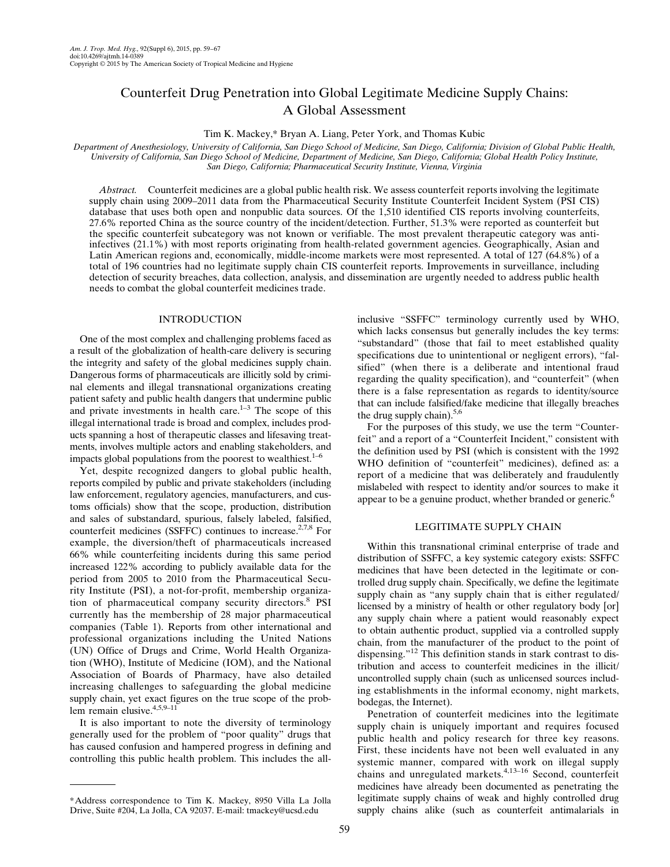# Counterfeit Drug Penetration into Global Legitimate Medicine Supply Chains: A Global Assessment

Tim K. Mackey,\* Bryan A. Liang, Peter York, and Thomas Kubic

Department of Anesthesiology, University of California, San Diego School of Medicine, San Diego, California; Division of Global Public Health, University of California, San Diego School of Medicine, Department of Medicine, San Diego, California; Global Health Policy Institute, San Diego, California; Pharmaceutical Security Institute, Vienna, Virginia

Abstract. Counterfeit medicines are a global public health risk. We assess counterfeit reports involving the legitimate supply chain using 2009–2011 data from the Pharmaceutical Security Institute Counterfeit Incident System (PSI CIS) database that uses both open and nonpublic data sources. Of the 1,510 identified CIS reports involving counterfeits, 27.6% reported China as the source country of the incident/detection. Further, 51.3% were reported as counterfeit but the specific counterfeit subcategory was not known or verifiable. The most prevalent therapeutic category was antiinfectives (21.1%) with most reports originating from health-related government agencies. Geographically, Asian and Latin American regions and, economically, middle-income markets were most represented. A total of 127 (64.8%) of a total of 196 countries had no legitimate supply chain CIS counterfeit reports. Improvements in surveillance, including detection of security breaches, data collection, analysis, and dissemination are urgently needed to address public health needs to combat the global counterfeit medicines trade.

## INTRODUCTION

One of the most complex and challenging problems faced as a result of the globalization of health-care delivery is securing the integrity and safety of the global medicines supply chain. Dangerous forms of pharmaceuticals are illicitly sold by criminal elements and illegal transnational organizations creating patient safety and public health dangers that undermine public and private investments in health care. $1-3$  The scope of this illegal international trade is broad and complex, includes products spanning a host of therapeutic classes and lifesaving treatments, involves multiple actors and enabling stakeholders, and impacts global populations from the poorest to wealthiest. $1-6$ 

Yet, despite recognized dangers to global public health, reports compiled by public and private stakeholders (including law enforcement, regulatory agencies, manufacturers, and customs officials) show that the scope, production, distribution and sales of substandard, spurious, falsely labeled, falsified, counterfeit medicines (SSFFC) continues to increase.<sup>2,7,8</sup> For example, the diversion/theft of pharmaceuticals increased 66% while counterfeiting incidents during this same period increased 122% according to publicly available data for the period from 2005 to 2010 from the Pharmaceutical Security Institute (PSI), a not-for-profit, membership organization of pharmaceutical company security directors.<sup>8</sup> PSI currently has the membership of 28 major pharmaceutical companies (Table 1). Reports from other international and professional organizations including the United Nations (UN) Office of Drugs and Crime, World Health Organization (WHO), Institute of Medicine (IOM), and the National Association of Boards of Pharmacy, have also detailed increasing challenges to safeguarding the global medicine supply chain, yet exact figures on the true scope of the problem remain elusive. $4,5,9-11$ <sup>c</sup>

It is also important to note the diversity of terminology generally used for the problem of "poor quality" drugs that has caused confusion and hampered progress in defining and controlling this public health problem. This includes the allinclusive "SSFFC" terminology currently used by WHO, which lacks consensus but generally includes the key terms: "substandard" (those that fail to meet established quality specifications due to unintentional or negligent errors), "falsified" (when there is a deliberate and intentional fraud regarding the quality specification), and "counterfeit" (when there is a false representation as regards to identity/source that can include falsified/fake medicine that illegally breaches the drug supply chain). $5,6$ 

For the purposes of this study, we use the term "Counterfeit" and a report of a "Counterfeit Incident," consistent with the definition used by PSI (which is consistent with the 1992 WHO definition of "counterfeit" medicines), defined as: a report of a medicine that was deliberately and fraudulently mislabeled with respect to identity and/or sources to make it appear to be a genuine product, whether branded or generic.<sup>6</sup>

## LEGITIMATE SUPPLY CHAIN

Within this transnational criminal enterprise of trade and distribution of SSFFC, a key systemic category exists: SSFFC medicines that have been detected in the legitimate or controlled drug supply chain. Specifically, we define the legitimate supply chain as "any supply chain that is either regulated/ licensed by a ministry of health or other regulatory body [or] any supply chain where a patient would reasonably expect to obtain authentic product, supplied via a controlled supply chain, from the manufacturer of the product to the point of dispensing."<sup>12</sup> This definition stands in stark contrast to distribution and access to counterfeit medicines in the illicit/ uncontrolled supply chain (such as unlicensed sources including establishments in the informal economy, night markets, bodegas, the Internet).

Penetration of counterfeit medicines into the legitimate supply chain is uniquely important and requires focused public health and policy research for three key reasons. First, these incidents have not been well evaluated in any systemic manner, compared with work on illegal supply chains and unregulated markets.4,13–<sup>16</sup> Second, counterfeit medicines have already been documented as penetrating the legitimate supply chains of weak and highly controlled drug Address correspondence to Tim K. Mackey, 8950 Villa La Jolla in the equitimate supply chains of weak and highly controlled drug<br>Drive, Suite #204, La Jolla, CA 92037. E-mail: tmackey@ucsd.edu supply chains alike (such as c

Drive, Suite #204, La Jolla, CA 92037. E-mail: tmackey@ucsd.edu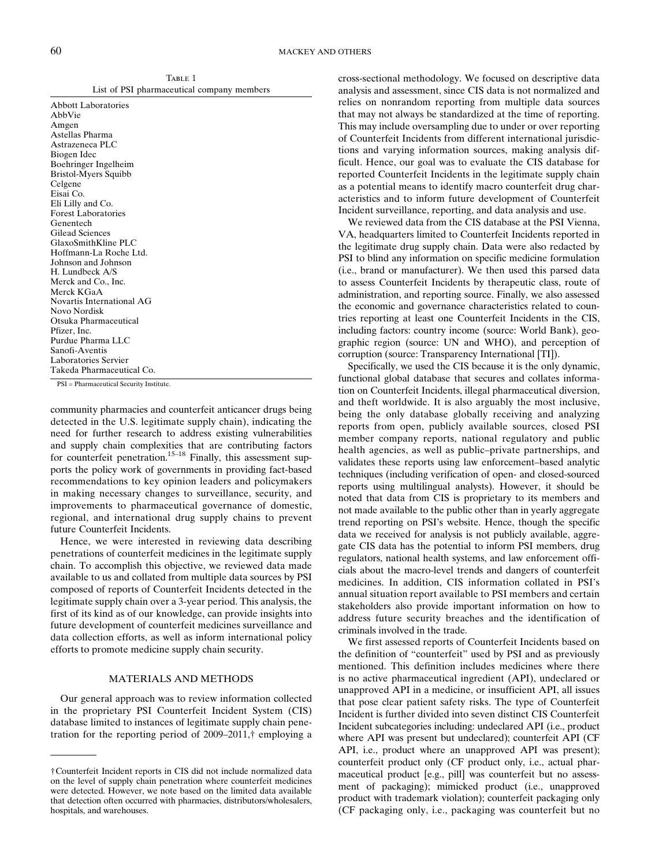TABLE 1 List of PSI pharmaceutical company members

| <b>Abbott Laboratories</b> |
|----------------------------|
| AbbVie                     |
| Amgen                      |
| Astellas Pharma            |
| Astrazeneca PLC            |
| Biogen Idec                |
| Boehringer Ingelheim       |
| Bristol-Myers Squibb       |
| Celgene                    |
| Eisai Co.                  |
| Eli Lilly and Co.          |
| <b>Forest Laboratories</b> |
| Genentech                  |
| Gilead Sciences            |
| GlaxoSmithKline PLC        |
| Hoffmann-La Roche Ltd.     |
| Johnson and Johnson        |
| H. Lundbeck A/S            |
| Merck and Co., Inc.        |
| Merck KGaA                 |
| Novartis International AG  |
| Novo Nordisk               |
| Otsuka Pharmaceutical      |
| Pfizer, Inc.               |
| Purdue Pharma LLC          |
| Sanofi-Aventis             |
| Laboratories Servier       |
| Takeda Pharmaceutical Co.  |

PSI = Pharmaceutical Security Institute.

community pharmacies and counterfeit anticancer drugs being detected in the U.S. legitimate supply chain), indicating the need for further research to address existing vulnerabilities and supply chain complexities that are contributing factors for counterfeit penetration.<sup>15–18</sup> Finally, this assessment supports the policy work of governments in providing fact-based recommendations to key opinion leaders and policymakers in making necessary changes to surveillance, security, and improvements to pharmaceutical governance of domestic, regional, and international drug supply chains to prevent future Counterfeit Incidents.

Hence, we were interested in reviewing data describing penetrations of counterfeit medicines in the legitimate supply chain. To accomplish this objective, we reviewed data made available to us and collated from multiple data sources by PSI composed of reports of Counterfeit Incidents detected in the legitimate supply chain over a 3-year period. This analysis, the first of its kind as of our knowledge, can provide insights into future development of counterfeit medicines surveillance and data collection efforts, as well as inform international policy efforts to promote medicine supply chain security.

## MATERIALS AND METHODS

Our general approach was to review information collected in the proprietary PSI Counterfeit Incident System (CIS) database limited to instances of legitimate supply chain penetration for the reporting period of 2009–2011,† employing a cross-sectional methodology. We focused on descriptive data analysis and assessment, since CIS data is not normalized and relies on nonrandom reporting from multiple data sources that may not always be standardized at the time of reporting. This may include oversampling due to under or over reporting of Counterfeit Incidents from different international jurisdictions and varying information sources, making analysis difficult. Hence, our goal was to evaluate the CIS database for reported Counterfeit Incidents in the legitimate supply chain as a potential means to identify macro counterfeit drug characteristics and to inform future development of Counterfeit Incident surveillance, reporting, and data analysis and use.

We reviewed data from the CIS database at the PSI Vienna, VA, headquarters limited to Counterfeit Incidents reported in the legitimate drug supply chain. Data were also redacted by PSI to blind any information on specific medicine formulation (i.e., brand or manufacturer). We then used this parsed data to assess Counterfeit Incidents by therapeutic class, route of administration, and reporting source. Finally, we also assessed the economic and governance characteristics related to countries reporting at least one Counterfeit Incidents in the CIS, including factors: country income (source: World Bank), geographic region (source: UN and WHO), and perception of corruption (source: Transparency International [TI]).

Specifically, we used the CIS because it is the only dynamic, functional global database that secures and collates information on Counterfeit Incidents, illegal pharmaceutical diversion, and theft worldwide. It is also arguably the most inclusive, being the only database globally receiving and analyzing reports from open, publicly available sources, closed PSI member company reports, national regulatory and public health agencies, as well as public–private partnerships, and validates these reports using law enforcement–based analytic techniques (including verification of open- and closed-sourced reports using multilingual analysts). However, it should be noted that data from CIS is proprietary to its members and not made available to the public other than in yearly aggregate trend reporting on PSI's website. Hence, though the specific data we received for analysis is not publicly available, aggregate CIS data has the potential to inform PSI members, drug regulators, national health systems, and law enforcement officials about the macro-level trends and dangers of counterfeit medicines. In addition, CIS information collated in PSI's annual situation report available to PSI members and certain stakeholders also provide important information on how to address future security breaches and the identification of criminals involved in the trade.

We first assessed reports of Counterfeit Incidents based on the definition of "counterfeit" used by PSI and as previously mentioned. This definition includes medicines where there is no active pharmaceutical ingredient (API), undeclared or unapproved API in a medicine, or insufficient API, all issues that pose clear patient safety risks. The type of Counterfeit Incident is further divided into seven distinct CIS Counterfeit Incident subcategories including: undeclared API (i.e., product where API was present but undeclared); counterfeit API (CF API, i.e., product where an unapproved API was present); counterfeit product only (CF product only, i.e., actual pharmaceutical product [e.g., pill] was counterfeit but no assessment of packaging); mimicked product (i.e., unapproved product with trademark violation); counterfeit packaging only (CF packaging only, i.e., packaging was counterfeit but no

<sup>†</sup>Counterfeit Incident reports in CIS did not include normalized data on the level of supply chain penetration where counterfeit medicines were detected. However, we note based on the limited data available that detection often occurred with pharmacies, distributors/wholesalers, hospitals, and warehouses.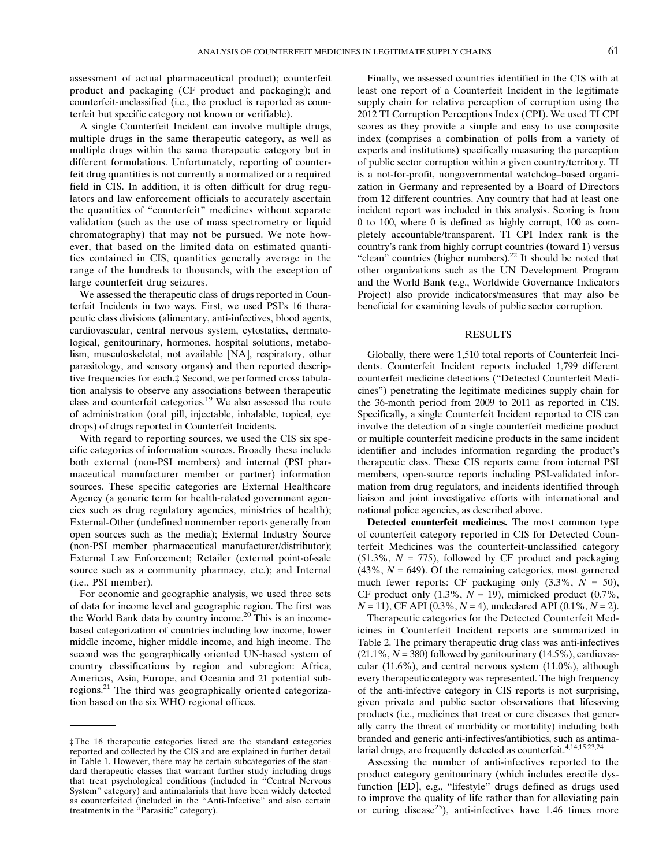assessment of actual pharmaceutical product); counterfeit product and packaging (CF product and packaging); and counterfeit-unclassified (i.e., the product is reported as counterfeit but specific category not known or verifiable).

A single Counterfeit Incident can involve multiple drugs, multiple drugs in the same therapeutic category, as well as multiple drugs within the same therapeutic category but in different formulations. Unfortunately, reporting of counterfeit drug quantities is not currently a normalized or a required field in CIS. In addition, it is often difficult for drug regulators and law enforcement officials to accurately ascertain the quantities of "counterfeit" medicines without separate validation (such as the use of mass spectrometry or liquid chromatography) that may not be pursued. We note however, that based on the limited data on estimated quantities contained in CIS, quantities generally average in the range of the hundreds to thousands, with the exception of large counterfeit drug seizures.

We assessed the therapeutic class of drugs reported in Counterfeit Incidents in two ways. First, we used PSI's 16 therapeutic class divisions (alimentary, anti-infectives, blood agents, cardiovascular, central nervous system, cytostatics, dermatological, genitourinary, hormones, hospital solutions, metabolism, musculoskeletal, not available [NA], respiratory, other parasitology, and sensory organs) and then reported descriptive frequencies for each.‡ Second, we performed cross tabulation analysis to observe any associations between therapeutic class and counterfeit categories.<sup>19</sup> We also assessed the route of administration (oral pill, injectable, inhalable, topical, eye drops) of drugs reported in Counterfeit Incidents.

With regard to reporting sources, we used the CIS six specific categories of information sources. Broadly these include both external (non-PSI members) and internal (PSI pharmaceutical manufacturer member or partner) information sources. These specific categories are External Healthcare Agency (a generic term for health-related government agencies such as drug regulatory agencies, ministries of health); External-Other (undefined nonmember reports generally from open sources such as the media); External Industry Source (non-PSI member pharmaceutical manufacturer/distributor); External Law Enforcement; Retailer (external point-of-sale source such as a community pharmacy, etc.); and Internal (i.e., PSI member).

For economic and geographic analysis, we used three sets of data for income level and geographic region. The first was the World Bank data by country income.<sup>20</sup> This is an incomebased categorization of countries including low income, lower middle income, higher middle income, and high income. The second was the geographically oriented UN-based system of country classifications by region and subregion: Africa, Americas, Asia, Europe, and Oceania and 21 potential subregions.21 The third was geographically oriented categorization based on the six WHO regional offices.

Finally, we assessed countries identified in the CIS with at least one report of a Counterfeit Incident in the legitimate supply chain for relative perception of corruption using the 2012 TI Corruption Perceptions Index (CPI). We used TI CPI scores as they provide a simple and easy to use composite index (comprises a combination of polls from a variety of experts and institutions) specifically measuring the perception of public sector corruption within a given country/territory. TI is a not-for-profit, nongovernmental watchdog–based organization in Germany and represented by a Board of Directors from 12 different countries. Any country that had at least one incident report was included in this analysis. Scoring is from 0 to 100, where 0 is defined as highly corrupt, 100 as completely accountable/transparent. TI CPI Index rank is the country's rank from highly corrupt countries (toward 1) versus "clean" countries (higher numbers). $^{22}$  It should be noted that other organizations such as the UN Development Program and the World Bank (e.g., Worldwide Governance Indicators Project) also provide indicators/measures that may also be beneficial for examining levels of public sector corruption.

#### RESULTS

Globally, there were 1,510 total reports of Counterfeit Incidents. Counterfeit Incident reports included 1,799 different counterfeit medicine detections ("Detected Counterfeit Medicines") penetrating the legitimate medicines supply chain for the 36-month period from 2009 to 2011 as reported in CIS. Specifically, a single Counterfeit Incident reported to CIS can involve the detection of a single counterfeit medicine product or multiple counterfeit medicine products in the same incident identifier and includes information regarding the product's therapeutic class. These CIS reports came from internal PSI members, open-source reports including PSI-validated information from drug regulators, and incidents identified through liaison and joint investigative efforts with international and national police agencies, as described above.

Detected counterfeit medicines. The most common type of counterfeit category reported in CIS for Detected Counterfeit Medicines was the counterfeit-unclassified category  $(51.3\%, N = 775)$ , followed by CF product and packaging  $(43\%, N = 649)$ . Of the remaining categories, most garnered much fewer reports: CF packaging only  $(3.3\%, N = 50)$ , CF product only  $(1.3\%, N = 19)$ , mimicked product  $(0.7\%,$  $N = 11$ , CF API (0.3%,  $N = 4$ ), undeclared API (0.1%,  $N = 2$ ).

Therapeutic categories for the Detected Counterfeit Medicines in Counterfeit Incident reports are summarized in Table 2. The primary therapeutic drug class was anti-infectives  $(21.1\%, N = 380)$  followed by genitourinary  $(14.5\%)$ , cardiovascular (11.6%), and central nervous system (11.0%), although every therapeutic category was represented. The high frequency of the anti-infective category in CIS reports is not surprising, given private and public sector observations that lifesaving products (i.e., medicines that treat or cure diseases that generally carry the threat of morbidity or mortality) including both branded and generic anti-infectives/antibiotics, such as antimalarial drugs, are frequently detected as counterfeit.<sup>4,14,15,23,24</sup>

Assessing the number of anti-infectives reported to the product category genitourinary (which includes erectile dysfunction [ED], e.g., "lifestyle" drugs defined as drugs used to improve the quality of life rather than for alleviating pain or curing disease<sup>25</sup>), anti-infectives have 1.46 times more

<sup>‡</sup>The 16 therapeutic categories listed are the standard categories reported and collected by the CIS and are explained in further detail in Table 1. However, there may be certain subcategories of the standard therapeutic classes that warrant further study including drugs that treat psychological conditions (included in "Central Nervous System" category) and antimalarials that have been widely detected as counterfeited (included in the "Anti-Infective" and also certain treatments in the "Parasitic" category).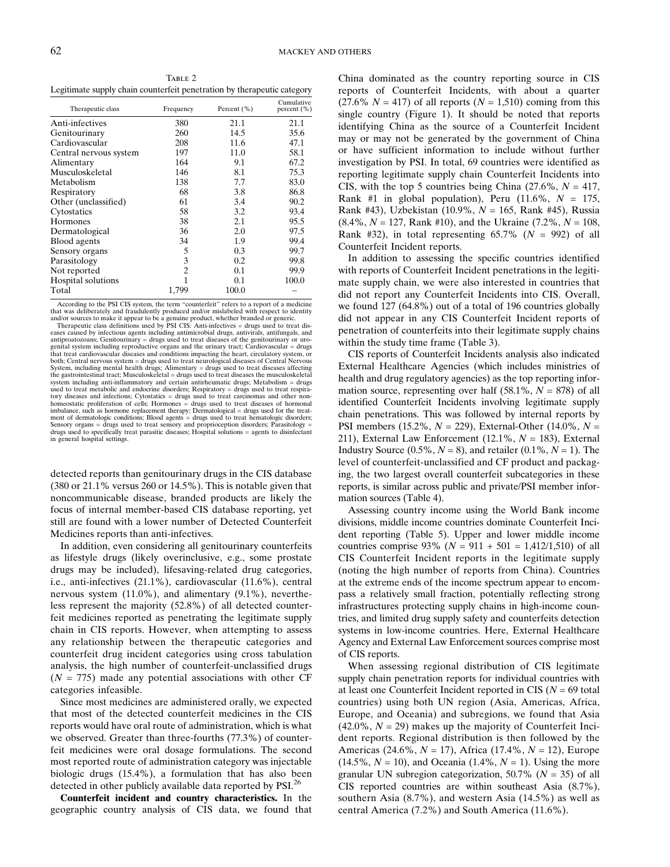TABLE 2 Legitimate supply chain counterfeit penetration by therapeutic category

| Therapeutic class      | Frequency      | Percent $(\% )$ | Cumulative<br>percent $(\% )$ |
|------------------------|----------------|-----------------|-------------------------------|
| Anti-infectives        | 380            | 21.1            | 21.1                          |
| Genitourinary          | 260            | 14.5            | 35.6                          |
| Cardiovascular         | 208            | 11.6            | 47.1                          |
| Central nervous system | 197            | 11.0            | 58.1                          |
| Alimentary             | 164            | 9.1             | 67.2                          |
| Musculoskeletal        | 146            | 8.1             | 75.3                          |
| Metabolism             | 138            | 7.7             | 83.0                          |
| Respiratory            | 68             | 3.8             | 86.8                          |
| Other (unclassified)   | 61             | 3.4             | 90.2                          |
| Cytostatics            | 58             | 3.2             | 93.4                          |
| Hormones               | 38             | 2.1             | 95.5                          |
| Dermatological         | 36             | 2.0             | 97.5                          |
| Blood agents           | 34             | 1.9             | 99.4                          |
| Sensory organs         | 5              | 0.3             | 99.7                          |
| Parasitology           | 3              | 0.2             | 99.8                          |
| Not reported           | $\overline{c}$ | 0.1             | 99.9                          |
| Hospital solutions     | 1              | 0.1             | 100.0                         |
| Total                  | 1.799          | 100.0           |                               |

According to the PSI CIS system, the term "counterfeit" refers to a report of a medicine that was deliberately and fraudulently produced and/or mislabeled with respect to identity and/or sources to make it appear to be a genuine product, whether branded or generic. Therapeutic class definitions used by PSI CIS: Anti-infectives = drugs used to treat dis-

eases caused by infectious agents including antimicrobial drugs, antivirals, antifungals, and antiproatozoans; Genitourinary = drugs used to treat diseases of the genitourinary or uro-genital system including reproductive organs and the urinary tract; Cardiovascular = drugs that treat cardiovascular diseases and conditions impacting the heart, circulatory system, or both; Central nervous system = drugs used to treat neurological diseases of Central Nervous System, including mental health drugs; Alimentary = drugs used to treat diseases affecting the gastrointestinal tract; Musculoskeletal = drugs used to treat diseases the musculoskeletal system including anti-inflammatory and certain antirheumatic drugs; Metabolism = drugs used to treat metabolic and endocrine disorders; Respiratory = drugs used to treat respiratory diseases and infections; Cytostatics = drugs used to treat carcinomas and other non-homeostatic proliferation of cells; Hormones = drugs used to treat diseases of hormonal imbalance, such as hormone replacement therapy; Dermatological = drugs used for the treat-<br>ment of dermatologic conditions; Blood agents = drugs used to treat hematologic disorders;<br>Sensory organs = drugs used to treat sen drugs used to specifically treat parasitic diseases; Hospital solutions = agents to disinfectant in general hospital settings.

detected reports than genitourinary drugs in the CIS database (380 or 21.1% versus 260 or 14.5%). This is notable given that noncommunicable disease, branded products are likely the focus of internal member-based CIS database reporting, yet still are found with a lower number of Detected Counterfeit Medicines reports than anti-infectives.

In addition, even considering all genitourinary counterfeits as lifestyle drugs (likely overinclusive, e.g., some prostate drugs may be included), lifesaving-related drug categories, i.e., anti-infectives (21.1%), cardiovascular (11.6%), central nervous system (11.0%), and alimentary (9.1%), nevertheless represent the majority (52.8%) of all detected counterfeit medicines reported as penetrating the legitimate supply chain in CIS reports. However, when attempting to assess any relationship between the therapeutic categories and counterfeit drug incident categories using cross tabulation analysis, the high number of counterfeit-unclassified drugs  $(N = 775)$  made any potential associations with other CF categories infeasible.

Since most medicines are administered orally, we expected that most of the detected counterfeit medicines in the CIS reports would have oral route of administration, which is what we observed. Greater than three-fourths (77.3%) of counterfeit medicines were oral dosage formulations. The second most reported route of administration category was injectable biologic drugs (15.4%), a formulation that has also been detected in other publicly available data reported by PSI.<sup>26</sup>

Counterfeit incident and country characteristics. In the geographic country analysis of CIS data, we found that China dominated as the country reporting source in CIS reports of Counterfeit Incidents, with about a quarter (27.6%  $N = 417$ ) of all reports ( $N = 1,510$ ) coming from this single country (Figure 1). It should be noted that reports identifying China as the source of a Counterfeit Incident may or may not be generated by the government of China or have sufficient information to include without further investigation by PSI. In total, 69 countries were identified as reporting legitimate supply chain Counterfeit Incidents into CIS, with the top 5 countries being China  $(27.6\%, N = 417)$ , Rank #1 in global population), Peru (11.6%,  $N = 175$ , Rank #43), Uzbekistan (10.9%,  $N = 165$ , Rank #45), Russia  $(8.4\%, N = 127, Rank #10)$ , and the Ukraine  $(7.2\%, N = 108,$ Rank #32), in total representing  $65.7\%$  ( $N = 992$ ) of all Counterfeit Incident reports.

In addition to assessing the specific countries identified with reports of Counterfeit Incident penetrations in the legitimate supply chain, we were also interested in countries that did not report any Counterfeit Incidents into CIS. Overall, we found 127 (64.8%) out of a total of 196 countries globally did not appear in any CIS Counterfeit Incident reports of penetration of counterfeits into their legitimate supply chains within the study time frame (Table 3).

CIS reports of Counterfeit Incidents analysis also indicated External Healthcare Agencies (which includes ministries of health and drug regulatory agencies) as the top reporting information source, representing over half (58.1%,  $N = 878$ ) of all identified Counterfeit Incidents involving legitimate supply chain penetrations. This was followed by internal reports by PSI members (15.2%,  $N = 229$ ), External-Other (14.0%,  $N =$ 211), External Law Enforcement (12.1%,  $N = 183$ ), External Industry Source  $(0.5\%, N = 8)$ , and retailer  $(0.1\%, N = 1)$ . The level of counterfeit-unclassified and CF product and packaging, the two largest overall counterfeit subcategories in these reports, is similar across public and private/PSI member information sources (Table 4).

Assessing country income using the World Bank income divisions, middle income countries dominate Counterfeit Incident reporting (Table 5). Upper and lower middle income countries comprise 93% ( $N = 911 + 501 = 1,412/1,510$ ) of all CIS Counterfeit Incident reports in the legitimate supply (noting the high number of reports from China). Countries at the extreme ends of the income spectrum appear to encompass a relatively small fraction, potentially reflecting strong infrastructures protecting supply chains in high-income countries, and limited drug supply safety and counterfeits detection systems in low-income countries. Here, External Healthcare Agency and External Law Enforcement sources comprise most of CIS reports.

When assessing regional distribution of CIS legitimate supply chain penetration reports for individual countries with at least one Counterfeit Incident reported in CIS ( $N = 69$  total countries) using both UN region (Asia, Americas, Africa, Europe, and Oceania) and subregions, we found that Asia  $(42.0\%, N = 29)$  makes up the majority of Counterfeit Incident reports. Regional distribution is then followed by the Americas (24.6%,  $N = 17$ ), Africa (17.4%,  $N = 12$ ), Europe  $(14.5\%, N = 10)$ , and Oceania  $(1.4\%, N = 1)$ . Using the more granular UN subregion categorization,  $50.7\%$  ( $N = 35$ ) of all CIS reported countries are within southeast Asia (8.7%), southern Asia (8.7%), and western Asia (14.5%) as well as central America (7.2%) and South America (11.6%).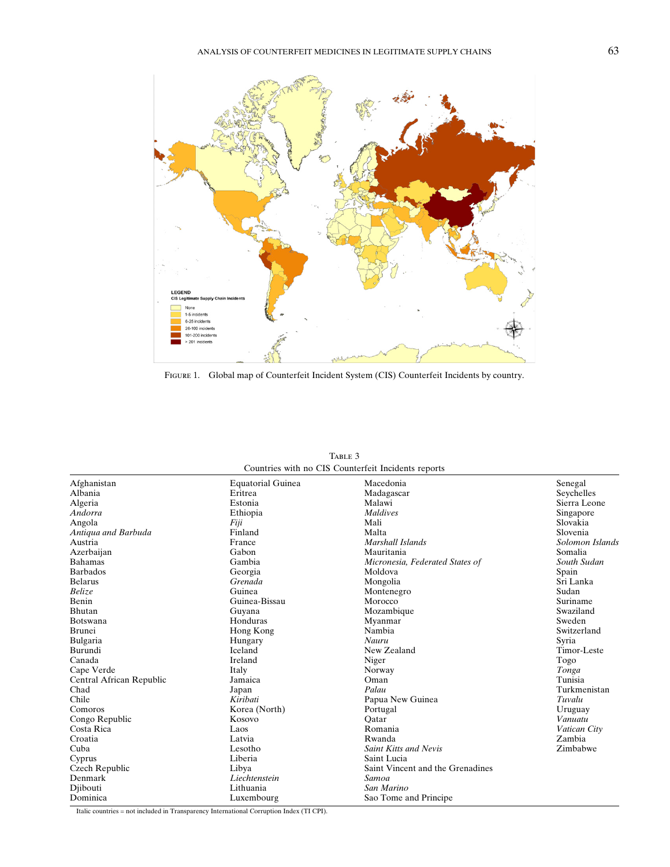

Figure 1. Global map of Counterfeit Incident System (CIS) Counterfeit Incidents by country.

TABLE 3 Countries with no CIS Counterfeit Incidents reports

|                          |                          | Countries with no City Counterfelt Incidents reports |                 |
|--------------------------|--------------------------|------------------------------------------------------|-----------------|
| Afghanistan              | <b>Equatorial Guinea</b> | Macedonia                                            | Senegal         |
| Albania                  | Eritrea                  | Madagascar                                           | Sevchelles      |
| Algeria                  | Estonia                  | Malawi                                               | Sierra Leone    |
| Andorra                  | Ethiopia                 | <b>Maldives</b>                                      | Singapore       |
| Angola                   | Fiji                     | Mali                                                 | Slovakia        |
| Antiqua and Barbuda      | Finland                  | Malta                                                | Slovenia        |
| Austria                  | France                   | Marshall Islands                                     | Solomon Islands |
| Azerbaijan               | Gabon                    | Mauritania                                           | Somalia         |
| <b>Bahamas</b>           | Gambia                   | Micronesia, Federated States of                      | South Sudan     |
| <b>Barbados</b>          | Georgia                  | Moldova                                              | Spain           |
| <b>Belarus</b>           | Grenada                  | Mongolia                                             | Sri Lanka       |
| <b>Belize</b>            | Guinea                   | Montenegro                                           | Sudan           |
| Benin                    | Guinea-Bissau            | Morocco                                              | Suriname        |
| Bhutan                   | Guyana                   | Mozambique                                           | Swaziland       |
| Botswana                 | Honduras                 | Myanmar                                              | Sweden          |
| Brunei                   | Hong Kong                | Nambia                                               | Switzerland     |
| <b>Bulgaria</b>          | Hungary                  | Nauru                                                | Syria           |
| Burundi                  | Iceland                  | New Zealand                                          | Timor-Leste     |
| Canada                   | Ireland                  | Niger                                                | Togo            |
| Cape Verde               | Italy                    | Norway                                               | Tonga           |
| Central African Republic | Jamaica                  | Oman                                                 | Tunisia         |
| Chad                     | Japan                    | Palau                                                | Turkmenistan    |
| Chile                    | Kiribati                 | Papua New Guinea                                     | Tuvalu          |
| Comoros                  | Korea (North)            | Portugal                                             | Uruguay         |
| Congo Republic           | Kosovo                   | Oatar                                                | Vanuatu         |
| Costa Rica               | Laos                     | Romania                                              | Vatican City    |
| Croatia                  | Latvia                   | Rwanda                                               | Zambia          |
| Cuba                     | Lesotho                  | <b>Saint Kitts and Nevis</b>                         | Zimbabwe        |
| Cyprus                   | Liberia                  | Saint Lucia                                          |                 |
| Czech Republic           | Libya                    | Saint Vincent and the Grenadines                     |                 |
| Denmark                  | Liechtenstein            | Samoa                                                |                 |
| Djibouti                 | Lithuania                | San Marino                                           |                 |
| Dominica                 | Luxembourg               | Sao Tome and Principe                                |                 |

Italic countries = not included in Transparency International Corruption Index (TI CPI).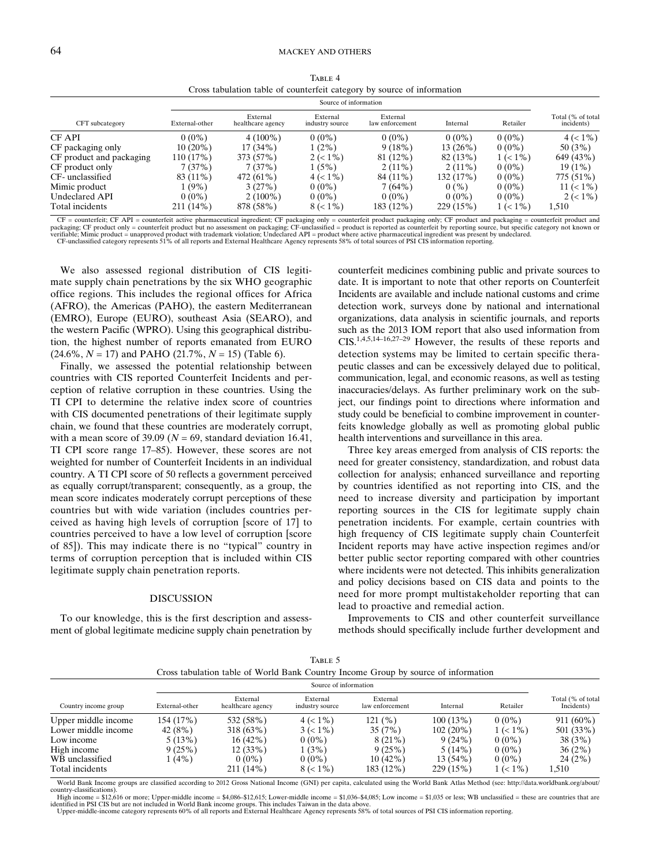TABLE 4 Cross tabulation table of counterfeit category by source of information

|                          | Source of information |                               |                             |                             |            |             |                                 |
|--------------------------|-----------------------|-------------------------------|-----------------------------|-----------------------------|------------|-------------|---------------------------------|
| CFT subcategory          | External-other        | External<br>healthcare agency | External<br>industry source | External<br>law enforcement | Internal   | Retailer    | Total (% of total<br>incidents) |
| <b>CF API</b>            | $0(0\%)$              | $4(100\%)$                    | $0(0\%)$                    | $0(0\%)$                    | $0(0\%)$   | $0(0\%)$    | $4 (< 1\%)$                     |
| CF packaging only        | $10(20\%)$            | 17 (34%)                      | $(2\%)$                     | 9(18%)                      | $13(26\%)$ | $0(0\%)$    | 50(3%)                          |
| CF product and packaging | 110 (17%)             | 373 (57%)                     | $2 (< 1\%)$                 | $81(12\%)$                  | 82 (13%)   | $1 (< 1\%)$ | 649 (43%)                       |
| CF product only          | 7 (37%)               | 7(37%)                        | 1 (5%)                      | $2(11\%)$                   | $2(11\%)$  | $0(0\%)$    | 19(1%)                          |
| CF- unclassified         | 83 (11%)              | 472 (61%)                     | $4 (< 1\%)$                 | 84 (11\%)                   | 132 (17%)  | $0(0\%)$    | 775 (51%)                       |
| Mimic product            | l (9%)                | 3(27%)                        | $0(0\%)$                    | 7 (64%)                     | 0(%)       | $0(0\%)$    | $11 (< 1\%)$                    |
| Undeclared API           | $0(0\%)$              | $2(100\%)$                    | $0(0\%)$                    | $0(0\%)$                    | $0(0\%)$   | $0(0\%)$    | $2 (< 1\%)$                     |
| Total incidents          | 211 (14%)             | 878 (58%)                     | $8 (< 1\%)$                 | 183 (12%)                   | 229(15%)   | $1 (< 1\%)$ | 1.510                           |

CF = counterfeit; CF API = counterfeit active pharmaceutical ingredient; CF packaging only = counterfeit product packaging only; CF product and packaging = counterfeit product and packaging; CF product only = counterfeit product but no assessment on packaging; CF-unclassified = product is reported as counterfeit by reporting source, but specific category not known or<br>verifiable; Mimic product = unap CF-unclassified category represents 51% of all reports and External Healthcare Agency represents 58% of total sources of PSI CIS information reporting.

We also assessed regional distribution of CIS legitimate supply chain penetrations by the six WHO geographic office regions. This includes the regional offices for Africa (AFRO), the Americas (PAHO), the eastern Mediterranean (EMRO), Europe (EURO), southeast Asia (SEARO), and the western Pacific (WPRO). Using this geographical distribution, the highest number of reports emanated from EURO  $(24.6\%, N = 17)$  and PAHO  $(21.7\%, N = 15)$  (Table 6).

Finally, we assessed the potential relationship between countries with CIS reported Counterfeit Incidents and perception of relative corruption in these countries. Using the TI CPI to determine the relative index score of countries with CIS documented penetrations of their legitimate supply chain, we found that these countries are moderately corrupt, with a mean score of 39.09 ( $N = 69$ , standard deviation 16.41, TI CPI score range 17–85). However, these scores are not weighted for number of Counterfeit Incidents in an individual country. A TI CPI score of 50 reflects a government perceived as equally corrupt/transparent; consequently, as a group, the mean score indicates moderately corrupt perceptions of these countries but with wide variation (includes countries perceived as having high levels of corruption [score of 17] to countries perceived to have a low level of corruption [score of 85]). This may indicate there is no "typical" country in terms of corruption perception that is included within CIS legitimate supply chain penetration reports.

#### DISCUSSION

To our knowledge, this is the first description and assessment of global legitimate medicine supply chain penetration by

counterfeit medicines combining public and private sources to date. It is important to note that other reports on Counterfeit Incidents are available and include national customs and crime detection work, surveys done by national and international organizations, data analysis in scientific journals, and reports such as the 2013 IOM report that also used information from CIS.<sup>1,4,5,14–16,27–29</sup> However, the results of these reports and detection systems may be limited to certain specific therapeutic classes and can be excessively delayed due to political, communication, legal, and economic reasons, as well as testing inaccuracies/delays. As further preliminary work on the subject, our findings point to directions where information and study could be beneficial to combine improvement in counterfeits knowledge globally as well as promoting global public health interventions and surveillance in this area.

Three key areas emerged from analysis of CIS reports: the need for greater consistency, standardization, and robust data collection for analysis; enhanced surveillance and reporting by countries identified as not reporting into CIS, and the need to increase diversity and participation by important reporting sources in the CIS for legitimate supply chain penetration incidents. For example, certain countries with high frequency of CIS legitimate supply chain Counterfeit Incident reports may have active inspection regimes and/or better public sector reporting compared with other countries where incidents were not detected. This inhibits generalization and policy decisions based on CIS data and points to the need for more prompt multistakeholder reporting that can lead to proactive and remedial action.

Improvements to CIS and other counterfeit surveillance methods should specifically include further development and

|                                                                                    |  | TABLE 5 |  |  |
|------------------------------------------------------------------------------------|--|---------|--|--|
| Cross tabulation table of World Bank Country Income Group by source of information |  |         |  |  |

|                                                   | Source of information |                                    |                                   |                                   |                                  |                                     |                                 |
|---------------------------------------------------|-----------------------|------------------------------------|-----------------------------------|-----------------------------------|----------------------------------|-------------------------------------|---------------------------------|
| Country income group                              | External-other        | External<br>healthcare agency      | External<br>industry source       | External<br>law enforcement       | Internal                         | Retailer                            | Total (% of total<br>Incidents) |
| Upper middle income<br>Lower middle income        | 154 (17%)<br>42(8%)   | 532 (58%)<br>318 (63%)             | $4 (< 1\%)$<br>$3 (< 1\%)$        | 121(%)<br>35(7%)                  | $100(13\%)$<br>$102(20\%)$       | $0(0\%)$<br>$1 (< 1\%)$             | $911(60\%)$<br>501 (33%)        |
| Low income                                        | 5(13%)                | $16(42\%)$                         | $0(0\%)$                          | $8(21\%)$                         | 9(24%)                           | $0(0\%)$                            | 38 (3%)                         |
| High income<br>WB unclassified<br>Total incidents | 9(25%)<br>$(4\%)$     | 12(33%)<br>$0(0\%)$<br>$211(14\%)$ | 1 (3%)<br>$0(0\%)$<br>$8 (< 1\%)$ | 9(25%)<br>$10(42\%)$<br>183 (12%) | 5(14%)<br>$13(54\%)$<br>229(15%) | $0(0\%)$<br>$0(0\%)$<br>$1 (< 1\%)$ | 36(2%)<br>24(2%)<br>1.510       |
|                                                   |                       |                                    |                                   |                                   |                                  |                                     |                                 |

World Bank Income groups are classified according to 2012 Gross National Income (GNI) per capita, calculated using the World Bank Atlas Method (see: http://data.worldbank.org/about/ country-classifications).

High income = \$12,616 or more; Upper-middle income = \$4,086-\$12,615; Lower-middle income = \$1,036-\$4,085; Low income = \$1,035 or less; WB unclassified = these are countries that are identified in PSI CIS but are not includ

Upper-middle-income category represents 60% of all reports and External Healthcare Agency represents 58% of total sources of PSI CIS information reporting.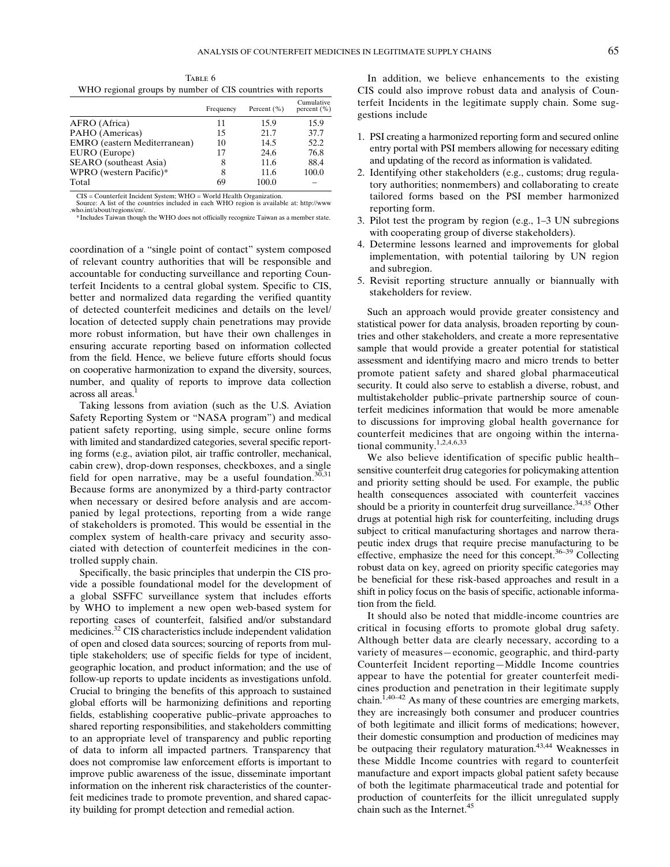TABLE 6 WHO regional groups by number of CIS countries with reports

|                              | Frequency | Percent $(\% )$ | Cumulative<br>percent $(\% )$ |
|------------------------------|-----------|-----------------|-------------------------------|
| AFRO (Africa)                | 11        | 15.9            | 15.9                          |
| PAHO (Americas)              | 15        | 21.7            | 37.7                          |
| EMRO (eastern Mediterranean) | 10        | 14.5            | 52.2                          |
| EURO (Europe)                | 17        | 24.6            | 76.8                          |
| SEARO (southeast Asia)       | 8         | 11.6            | 88.4                          |
| WPRO (western Pacific)*      | 8         | 11.6            | 100.0                         |
| Total                        | 69        | 100.0           |                               |

CIS = Counterfeit Incident System; WHO = World Health Organization. Source: A list of the countries included in each WHO region is available at: http://www .who.int/about/regions/en/.

\*Includes Taiwan though the WHO does not officially recognize Taiwan as a member state.

coordination of a "single point of contact" system composed of relevant country authorities that will be responsible and accountable for conducting surveillance and reporting Counterfeit Incidents to a central global system. Specific to CIS, better and normalized data regarding the verified quantity of detected counterfeit medicines and details on the level/ location of detected supply chain penetrations may provide more robust information, but have their own challenges in ensuring accurate reporting based on information collected from the field. Hence, we believe future efforts should focus on cooperative harmonization to expand the diversity, sources, number, and quality of reports to improve data collection across all areas.

Taking lessons from aviation (such as the U.S. Aviation Safety Reporting System or "NASA program") and medical patient safety reporting, using simple, secure online forms with limited and standardized categories, several specific reporting forms (e.g., aviation pilot, air traffic controller, mechanical, cabin crew), drop-down responses, checkboxes, and a single field for open narrative, may be a useful foundation.<sup>30,31</sup> Because forms are anonymized by a third-party contractor when necessary or desired before analysis and are accompanied by legal protections, reporting from a wide range of stakeholders is promoted. This would be essential in the complex system of health-care privacy and security associated with detection of counterfeit medicines in the controlled supply chain.

Specifically, the basic principles that underpin the CIS provide a possible foundational model for the development of a global SSFFC surveillance system that includes efforts by WHO to implement a new open web-based system for reporting cases of counterfeit, falsified and/or substandard medicines.32 CIS characteristics include independent validation of open and closed data sources; sourcing of reports from multiple stakeholders; use of specific fields for type of incident, geographic location, and product information; and the use of follow-up reports to update incidents as investigations unfold. Crucial to bringing the benefits of this approach to sustained global efforts will be harmonizing definitions and reporting fields, establishing cooperative public–private approaches to shared reporting responsibilities, and stakeholders committing to an appropriate level of transparency and public reporting of data to inform all impacted partners. Transparency that does not compromise law enforcement efforts is important to improve public awareness of the issue, disseminate important information on the inherent risk characteristics of the counterfeit medicines trade to promote prevention, and shared capacity building for prompt detection and remedial action.

In addition, we believe enhancements to the existing CIS could also improve robust data and analysis of Counterfeit Incidents in the legitimate supply chain. Some suggestions include

- 1. PSI creating a harmonized reporting form and secured online entry portal with PSI members allowing for necessary editing and updating of the record as information is validated.
- 2. Identifying other stakeholders (e.g., customs; drug regulatory authorities; nonmembers) and collaborating to create tailored forms based on the PSI member harmonized reporting form.
- 3. Pilot test the program by region (e.g., 1–3 UN subregions with cooperating group of diverse stakeholders).
- 4. Determine lessons learned and improvements for global implementation, with potential tailoring by UN region and subregion.
- 5. Revisit reporting structure annually or biannually with stakeholders for review.

Such an approach would provide greater consistency and statistical power for data analysis, broaden reporting by countries and other stakeholders, and create a more representative sample that would provide a greater potential for statistical assessment and identifying macro and micro trends to better promote patient safety and shared global pharmaceutical security. It could also serve to establish a diverse, robust, and multistakeholder public–private partnership source of counterfeit medicines information that would be more amenable to discussions for improving global health governance for counterfeit medicines that are ongoing within the international community.1,2,4,6,33

We also believe identification of specific public health– sensitive counterfeit drug categories for policymaking attention and priority setting should be used. For example, the public health consequences associated with counterfeit vaccines should be a priority in counterfeit drug surveillance.<sup>34,35</sup> Other drugs at potential high risk for counterfeiting, including drugs subject to critical manufacturing shortages and narrow therapeutic index drugs that require precise manufacturing to be effective, emphasize the need for this concept.<sup>36–39</sup> Collecting robust data on key, agreed on priority specific categories may be beneficial for these risk-based approaches and result in a shift in policy focus on the basis of specific, actionable information from the field.

It should also be noted that middle-income countries are critical in focusing efforts to promote global drug safety. Although better data are clearly necessary, according to a variety of measures—economic, geographic, and third-party Counterfeit Incident reporting—Middle Income countries appear to have the potential for greater counterfeit medicines production and penetration in their legitimate supply chain.<sup> $1,40-42$ </sup> As many of these countries are emerging markets, they are increasingly both consumer and producer countries of both legitimate and illicit forms of medications; however, their domestic consumption and production of medicines may be outpacing their regulatory maturation.<sup>43,44</sup> Weaknesses in these Middle Income countries with regard to counterfeit manufacture and export impacts global patient safety because of both the legitimate pharmaceutical trade and potential for production of counterfeits for the illicit unregulated supply chain such as the Internet. $45$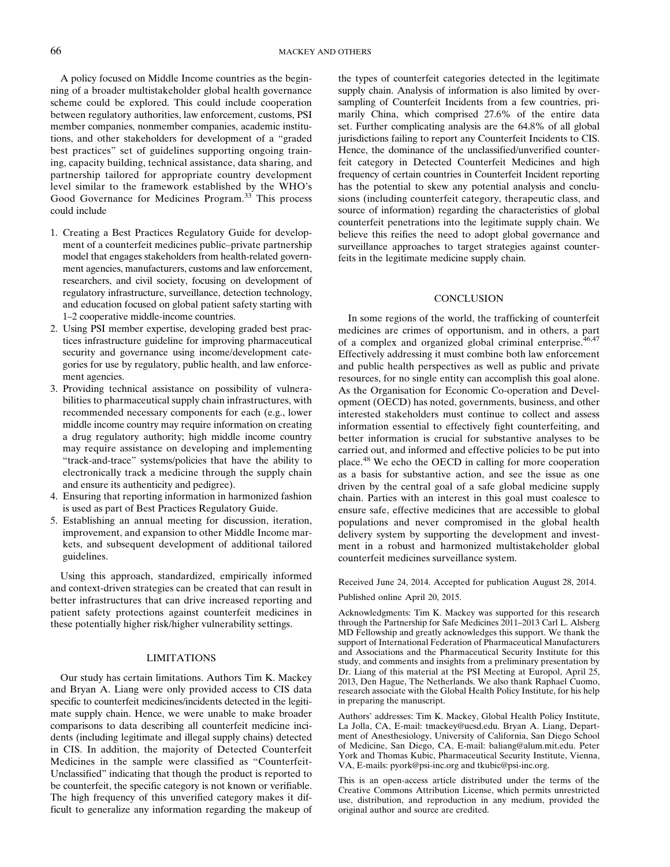A policy focused on Middle Income countries as the beginning of a broader multistakeholder global health governance scheme could be explored. This could include cooperation between regulatory authorities, law enforcement, customs, PSI member companies, nonmember companies, academic institutions, and other stakeholders for development of a "graded best practices" set of guidelines supporting ongoing training, capacity building, technical assistance, data sharing, and partnership tailored for appropriate country development level similar to the framework established by the WHO's Good Governance for Medicines Program.<sup>33</sup> This process could include

- 1. Creating a Best Practices Regulatory Guide for development of a counterfeit medicines public–private partnership model that engages stakeholders from health-related government agencies, manufacturers, customs and law enforcement, researchers, and civil society, focusing on development of regulatory infrastructure, surveillance, detection technology, and education focused on global patient safety starting with 1–2 cooperative middle-income countries.
- 2. Using PSI member expertise, developing graded best practices infrastructure guideline for improving pharmaceutical security and governance using income/development categories for use by regulatory, public health, and law enforcement agencies.
- 3. Providing technical assistance on possibility of vulnerabilities to pharmaceutical supply chain infrastructures, with recommended necessary components for each (e.g., lower middle income country may require information on creating a drug regulatory authority; high middle income country may require assistance on developing and implementing "track-and-trace" systems/policies that have the ability to electronically track a medicine through the supply chain and ensure its authenticity and pedigree).
- 4. Ensuring that reporting information in harmonized fashion is used as part of Best Practices Regulatory Guide.
- 5. Establishing an annual meeting for discussion, iteration, improvement, and expansion to other Middle Income markets, and subsequent development of additional tailored guidelines.

Using this approach, standardized, empirically informed and context-driven strategies can be created that can result in better infrastructures that can drive increased reporting and patient safety protections against counterfeit medicines in these potentially higher risk/higher vulnerability settings.

#### LIMITATIONS

Our study has certain limitations. Authors Tim K. Mackey and Bryan A. Liang were only provided access to CIS data specific to counterfeit medicines/incidents detected in the legitimate supply chain. Hence, we were unable to make broader comparisons to data describing all counterfeit medicine incidents (including legitimate and illegal supply chains) detected in CIS. In addition, the majority of Detected Counterfeit Medicines in the sample were classified as "Counterfeit-Unclassified" indicating that though the product is reported to be counterfeit, the specific category is not known or verifiable. The high frequency of this unverified category makes it difficult to generalize any information regarding the makeup of the types of counterfeit categories detected in the legitimate supply chain. Analysis of information is also limited by oversampling of Counterfeit Incidents from a few countries, primarily China, which comprised 27.6% of the entire data set. Further complicating analysis are the 64.8% of all global jurisdictions failing to report any Counterfeit Incidents to CIS. Hence, the dominance of the unclassified/unverified counterfeit category in Detected Counterfeit Medicines and high frequency of certain countries in Counterfeit Incident reporting has the potential to skew any potential analysis and conclusions (including counterfeit category, therapeutic class, and source of information) regarding the characteristics of global counterfeit penetrations into the legitimate supply chain. We believe this reifies the need to adopt global governance and surveillance approaches to target strategies against counterfeits in the legitimate medicine supply chain.

## **CONCLUSION**

In some regions of the world, the trafficking of counterfeit medicines are crimes of opportunism, and in others, a part of a complex and organized global criminal enterprise.<sup>46,47</sup> Effectively addressing it must combine both law enforcement and public health perspectives as well as public and private resources, for no single entity can accomplish this goal alone. As the Organisation for Economic Co-operation and Development (OECD) has noted, governments, business, and other interested stakeholders must continue to collect and assess information essential to effectively fight counterfeiting, and better information is crucial for substantive analyses to be carried out, and informed and effective policies to be put into place.48 We echo the OECD in calling for more cooperation as a basis for substantive action, and see the issue as one driven by the central goal of a safe global medicine supply chain. Parties with an interest in this goal must coalesce to ensure safe, effective medicines that are accessible to global populations and never compromised in the global health delivery system by supporting the development and investment in a robust and harmonized multistakeholder global counterfeit medicines surveillance system.

Received June 24, 2014. Accepted for publication August 28, 2014. Published online April 20, 2015.

Acknowledgments: Tim K. Mackey was supported for this research through the Partnership for Safe Medicines 2011–2013 Carl L. Alsberg MD Fellowship and greatly acknowledges this support. We thank the support of International Federation of Pharmaceutical Manufacturers and Associations and the Pharmaceutical Security Institute for this study, and comments and insights from a preliminary presentation by Dr. Liang of this material at the PSI Meeting at Europol, April 25, 2013, Den Hague, The Netherlands. We also thank Raphael Cuomo, research associate with the Global Health Policy Institute, for his help in preparing the manuscript.

Authors' addresses: Tim K. Mackey, Global Health Policy Institute, La Jolla, CA, E-mail: tmackey@ucsd.edu. Bryan A. Liang, Department of Anesthesiology, University of California, San Diego School of Medicine, San Diego, CA, E-mail: baliang@alum.mit.edu. Peter York and Thomas Kubic, Pharmaceutical Security Institute, Vienna, VA, E-mails: pyork@psi-inc.org and tkubic@psi-inc.org.

This is an open-access article distributed under the terms of the [Creative Commons Attribution License](http://creativecommons.org/licenses/by/4.0/), which permits unrestricted use, distribution, and reproduction in any medium, provided the original author and source are credited.